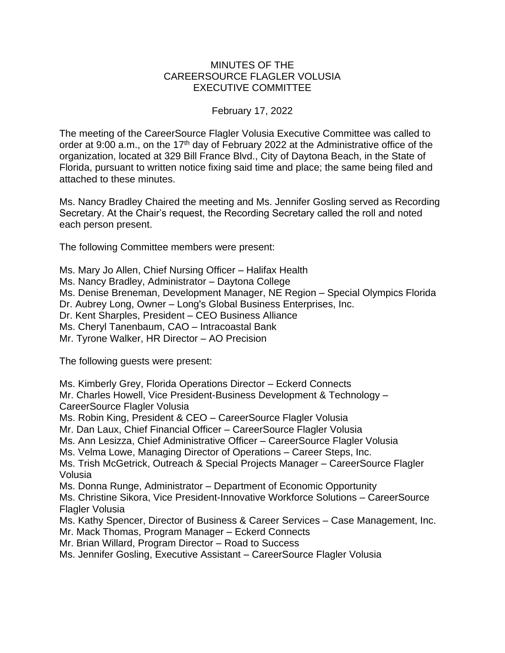## MINUTES OF THE CAREERSOURCE FLAGLER VOLUSIA EXECUTIVE COMMITTEE

## February 17, 2022

The meeting of the CareerSource Flagler Volusia Executive Committee was called to order at 9:00 a.m., on the 17<sup>th</sup> day of February 2022 at the Administrative office of the organization, located at 329 Bill France Blvd., City of Daytona Beach, in the State of Florida, pursuant to written notice fixing said time and place; the same being filed and attached to these minutes.

Ms. Nancy Bradley Chaired the meeting and Ms. Jennifer Gosling served as Recording Secretary. At the Chair's request, the Recording Secretary called the roll and noted each person present.

The following Committee members were present:

Ms. Mary Jo Allen, Chief Nursing Officer – Halifax Health

Ms. Nancy Bradley, Administrator – Daytona College

Ms. Denise Breneman, Development Manager, NE Region – Special Olympics Florida Dr. Aubrey Long, Owner – Long's Global Business Enterprises, Inc.

Dr. Kent Sharples, President – CEO Business Alliance

Ms. Cheryl Tanenbaum, CAO – Intracoastal Bank

Mr. Tyrone Walker, HR Director – AO Precision

The following guests were present:

Ms. Kimberly Grey, Florida Operations Director – Eckerd Connects

Mr. Charles Howell, Vice President-Business Development & Technology – CareerSource Flagler Volusia

Ms. Robin King, President & CEO – CareerSource Flagler Volusia

Mr. Dan Laux, Chief Financial Officer – CareerSource Flagler Volusia

Ms. Ann Lesizza, Chief Administrative Officer – CareerSource Flagler Volusia

Ms. Velma Lowe, Managing Director of Operations – Career Steps, Inc.

Ms. Trish McGetrick, Outreach & Special Projects Manager – CareerSource Flagler Volusia

Ms. Donna Runge, Administrator – Department of Economic Opportunity

Ms. Christine Sikora, Vice President-Innovative Workforce Solutions – CareerSource Flagler Volusia

Ms. Kathy Spencer, Director of Business & Career Services – Case Management, Inc.

Mr. Mack Thomas, Program Manager – Eckerd Connects

Mr. Brian Willard, Program Director – Road to Success

Ms. Jennifer Gosling, Executive Assistant – CareerSource Flagler Volusia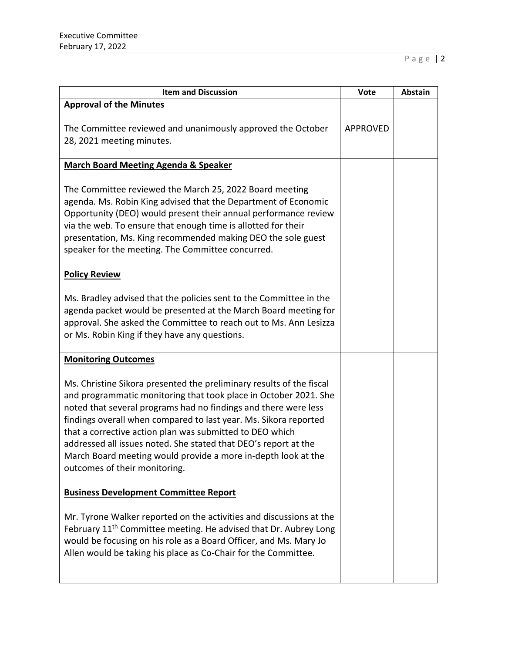| <b>Item and Discussion</b>                                                                                                                                                                                                                                                                                                                                                                                                                                                                                       | <b>Vote</b>     | Abstain |
|------------------------------------------------------------------------------------------------------------------------------------------------------------------------------------------------------------------------------------------------------------------------------------------------------------------------------------------------------------------------------------------------------------------------------------------------------------------------------------------------------------------|-----------------|---------|
| <b>Approval of the Minutes</b>                                                                                                                                                                                                                                                                                                                                                                                                                                                                                   | <b>APPROVED</b> |         |
| The Committee reviewed and unanimously approved the October<br>28, 2021 meeting minutes.                                                                                                                                                                                                                                                                                                                                                                                                                         |                 |         |
| <b>March Board Meeting Agenda &amp; Speaker</b>                                                                                                                                                                                                                                                                                                                                                                                                                                                                  |                 |         |
| The Committee reviewed the March 25, 2022 Board meeting<br>agenda. Ms. Robin King advised that the Department of Economic<br>Opportunity (DEO) would present their annual performance review<br>via the web. To ensure that enough time is allotted for their<br>presentation, Ms. King recommended making DEO the sole guest<br>speaker for the meeting. The Committee concurred.                                                                                                                               |                 |         |
| <b>Policy Review</b>                                                                                                                                                                                                                                                                                                                                                                                                                                                                                             |                 |         |
| Ms. Bradley advised that the policies sent to the Committee in the<br>agenda packet would be presented at the March Board meeting for<br>approval. She asked the Committee to reach out to Ms. Ann Lesizza<br>or Ms. Robin King if they have any questions.                                                                                                                                                                                                                                                      |                 |         |
| <b>Monitoring Outcomes</b>                                                                                                                                                                                                                                                                                                                                                                                                                                                                                       |                 |         |
| Ms. Christine Sikora presented the preliminary results of the fiscal<br>and programmatic monitoring that took place in October 2021. She<br>noted that several programs had no findings and there were less<br>findings overall when compared to last year. Ms. Sikora reported<br>that a corrective action plan was submitted to DEO which<br>addressed all issues noted. She stated that DEO's report at the<br>March Board meeting would provide a more in-depth look at the<br>outcomes of their monitoring. |                 |         |
| <b>Business Development Committee Report</b>                                                                                                                                                                                                                                                                                                                                                                                                                                                                     |                 |         |
| Mr. Tyrone Walker reported on the activities and discussions at the<br>February 11 <sup>th</sup> Committee meeting. He advised that Dr. Aubrey Long<br>would be focusing on his role as a Board Officer, and Ms. Mary Jo<br>Allen would be taking his place as Co-Chair for the Committee.                                                                                                                                                                                                                       |                 |         |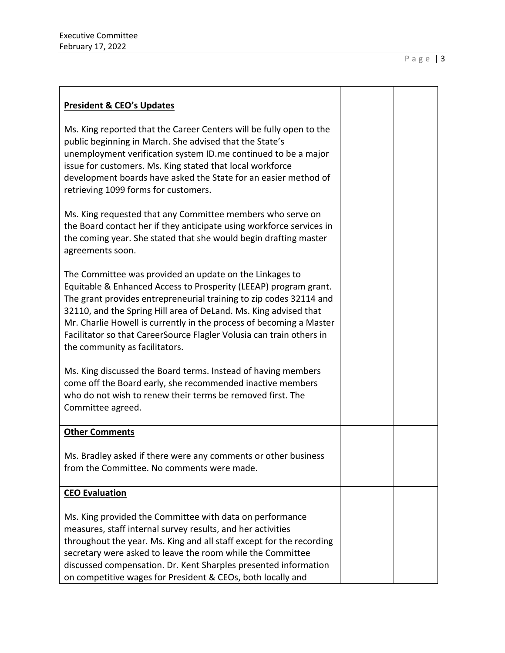| <b>President &amp; CEO's Updates</b>                                                                                                                                                                                                                                                                                                                                                                                                                   |  |
|--------------------------------------------------------------------------------------------------------------------------------------------------------------------------------------------------------------------------------------------------------------------------------------------------------------------------------------------------------------------------------------------------------------------------------------------------------|--|
| Ms. King reported that the Career Centers will be fully open to the<br>public beginning in March. She advised that the State's<br>unemployment verification system ID.me continued to be a major<br>issue for customers. Ms. King stated that local workforce<br>development boards have asked the State for an easier method of<br>retrieving 1099 forms for customers.                                                                               |  |
| Ms. King requested that any Committee members who serve on<br>the Board contact her if they anticipate using workforce services in<br>the coming year. She stated that she would begin drafting master<br>agreements soon.                                                                                                                                                                                                                             |  |
| The Committee was provided an update on the Linkages to<br>Equitable & Enhanced Access to Prosperity (LEEAP) program grant.<br>The grant provides entrepreneurial training to zip codes 32114 and<br>32110, and the Spring Hill area of DeLand. Ms. King advised that<br>Mr. Charlie Howell is currently in the process of becoming a Master<br>Facilitator so that CareerSource Flagler Volusia can train others in<br>the community as facilitators. |  |
| Ms. King discussed the Board terms. Instead of having members<br>come off the Board early, she recommended inactive members<br>who do not wish to renew their terms be removed first. The<br>Committee agreed.                                                                                                                                                                                                                                         |  |
| <b>Other Comments</b>                                                                                                                                                                                                                                                                                                                                                                                                                                  |  |
| Ms. Bradley asked if there were any comments or other business<br>from the Committee. No comments were made.                                                                                                                                                                                                                                                                                                                                           |  |
| <b>CEO Evaluation</b>                                                                                                                                                                                                                                                                                                                                                                                                                                  |  |
| Ms. King provided the Committee with data on performance<br>measures, staff internal survey results, and her activities<br>throughout the year. Ms. King and all staff except for the recording<br>secretary were asked to leave the room while the Committee<br>discussed compensation. Dr. Kent Sharples presented information<br>on competitive wages for President & CEOs, both locally and                                                        |  |